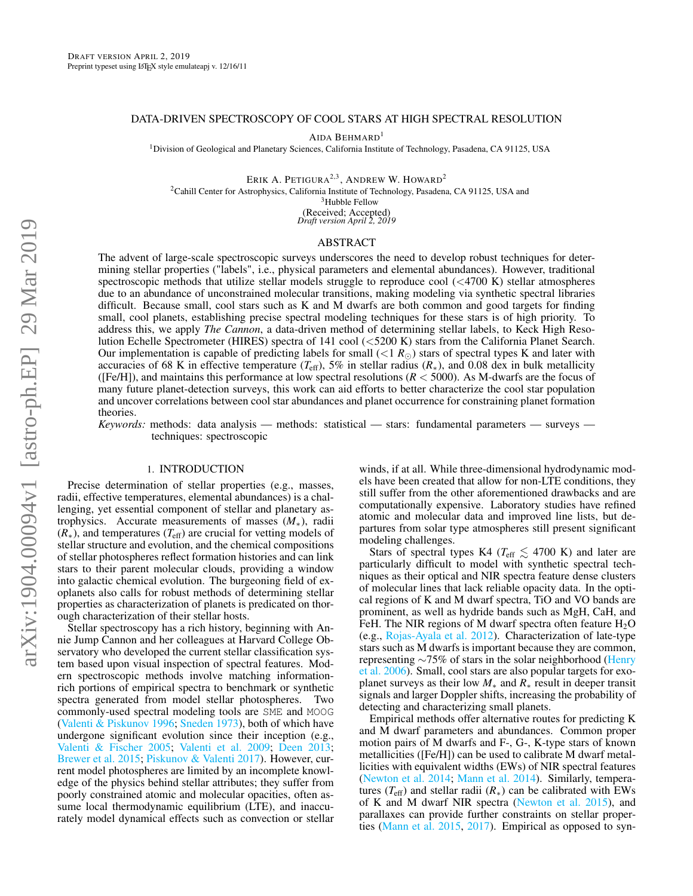# DATA-DRIVEN SPECTROSCOPY OF COOL STARS AT HIGH SPECTRAL RESOLUTION

AIDA BEHMARD<sup>1</sup>

<sup>1</sup>Division of Geological and Planetary Sciences, California Institute of Technology, Pasadena, CA 91125, USA

ERIK A. PETIGURA<sup>2,3</sup>, ANDREW W. HOWARD<sup>2</sup>

<sup>2</sup>Cahill Center for Astrophysics, California Institute of Technology, Pasadena, CA 91125, USA and

<sup>3</sup>Hubble Fellow

(Received; Accepted) *Draft version April 2, 2019*

# ABSTRACT

The advent of large-scale spectroscopic surveys underscores the need to develop robust techniques for determining stellar properties ("labels", i.e., physical parameters and elemental abundances). However, traditional spectroscopic methods that utilize stellar models struggle to reproduce cool (<4700 K) stellar atmospheres due to an abundance of unconstrained molecular transitions, making modeling via synthetic spectral libraries difficult. Because small, cool stars such as K and M dwarfs are both common and good targets for finding small, cool planets, establishing precise spectral modeling techniques for these stars is of high priority. To address this, we apply *The Cannon*, a data-driven method of determining stellar labels, to Keck High Resolution Echelle Spectrometer (HIRES) spectra of 141 cool (<5200 K) stars from the California Planet Search. Our implementation is capable of predicting labels for small  $( $1 R_{\odot}$ )$  stars of spectral types K and later with accuracies of 68 K in effective temperature ( $T_{\text{eff}}$ ), 5% in stellar radius ( $R_*$ ), and 0.08 dex in bulk metallicity ([Fe/H]), and maintains this performance at low spectral resolutions (*R* < 5000). As M-dwarfs are the focus of many future planet-detection surveys, this work can aid efforts to better characterize the cool star population and uncover correlations between cool star abundances and planet occurrence for constraining planet formation theories.

*Keywords:* methods: data analysis — methods: statistical — stars: fundamental parameters — surveys techniques: spectroscopic

### 1. INTRODUCTION

<span id="page-0-0"></span>Precise determination of stellar properties (e.g., masses, radii, effective temperatures, elemental abundances) is a challenging, yet essential component of stellar and planetary astrophysics. Accurate measurements of masses (*M*∗), radii (*R*∗), and temperatures (*T*eff) are crucial for vetting models of stellar structure and evolution, and the chemical compositions of stellar photospheres reflect formation histories and can link stars to their parent molecular clouds, providing a window into galactic chemical evolution. The burgeoning field of exoplanets also calls for robust methods of determining stellar properties as characterization of planets is predicated on thorough characterization of their stellar hosts.

Stellar spectroscopy has a rich history, beginning with Annie Jump Cannon and her colleagues at Harvard College Observatory who developed the current stellar classification system based upon visual inspection of spectral features. Modern spectroscopic methods involve matching informationrich portions of empirical spectra to benchmark or synthetic spectra generated from model stellar photospheres. Two commonly-used spectral modeling tools are SME and MOOG [\(Valenti & Piskunov](#page-8-0) [1996;](#page-8-0) [Sneden](#page-8-1) [1973\)](#page-8-1), both of which have undergone significant evolution since their inception (e.g., [Valenti & Fischer](#page-8-2) [2005;](#page-8-2) [Valenti et al.](#page-8-3) [2009;](#page-8-3) [Deen](#page-8-4) [2013;](#page-8-4) [Brewer et al.](#page-8-5) [2015;](#page-8-5) [Piskunov & Valenti](#page-8-6) [2017\)](#page-8-6). However, current model photospheres are limited by an incomplete knowledge of the physics behind stellar attributes; they suffer from poorly constrained atomic and molecular opacities, often assume local thermodynamic equilibrium (LTE), and inaccurately model dynamical effects such as convection or stellar

winds, if at all. While three-dimensional hydrodynamic models have been created that allow for non-LTE conditions, they still suffer from the other aforementioned drawbacks and are computationally expensive. Laboratory studies have refined atomic and molecular data and improved line lists, but departures from solar type atmospheres still present significant modeling challenges.

Stars of spectral types K4 ( $T_{\text{eff}} \lesssim 4700$  K) and later are particularly difficult to model with synthetic spectral techniques as their optical and NIR spectra feature dense clusters of molecular lines that lack reliable opacity data. In the optical regions of K and M dwarf spectra, TiO and VO bands are prominent, as well as hydride bands such as MgH, CaH, and FeH. The NIR regions of M dwarf spectra often feature  $H_2O$ (e.g., [Rojas-Ayala et al.](#page-8-7) [2012\)](#page-8-7). Characterization of late-type stars such as M dwarfs is important because they are common, representing ∼75% of stars in the solar neighborhood [\(Henry](#page-8-8) [et al.](#page-8-8) [2006\)](#page-8-8). Small, cool stars are also popular targets for exoplanet surveys as their low *M*<sup>∗</sup> and *R*<sup>∗</sup> result in deeper transit signals and larger Doppler shifts, increasing the probability of detecting and characterizing small planets.

Empirical methods offer alternative routes for predicting K and M dwarf parameters and abundances. Common proper motion pairs of M dwarfs and F-, G-, K-type stars of known metallicities ([Fe/H]) can be used to calibrate M dwarf metallicities with equivalent widths (EWs) of NIR spectral features [\(Newton et al.](#page-8-9) [2014;](#page-8-9) [Mann et al.](#page-8-10) [2014\)](#page-8-10). Similarly, temperatures ( $T_{\text{eff}}$ ) and stellar radii ( $R_*$ ) can be calibrated with EWs of K and M dwarf NIR spectra [\(Newton et al.](#page-8-11) [2015\)](#page-8-11), and parallaxes can provide further constraints on stellar properties [\(Mann et al.](#page-8-12) [2015,](#page-8-12) [2017\)](#page-8-13). Empirical as opposed to syn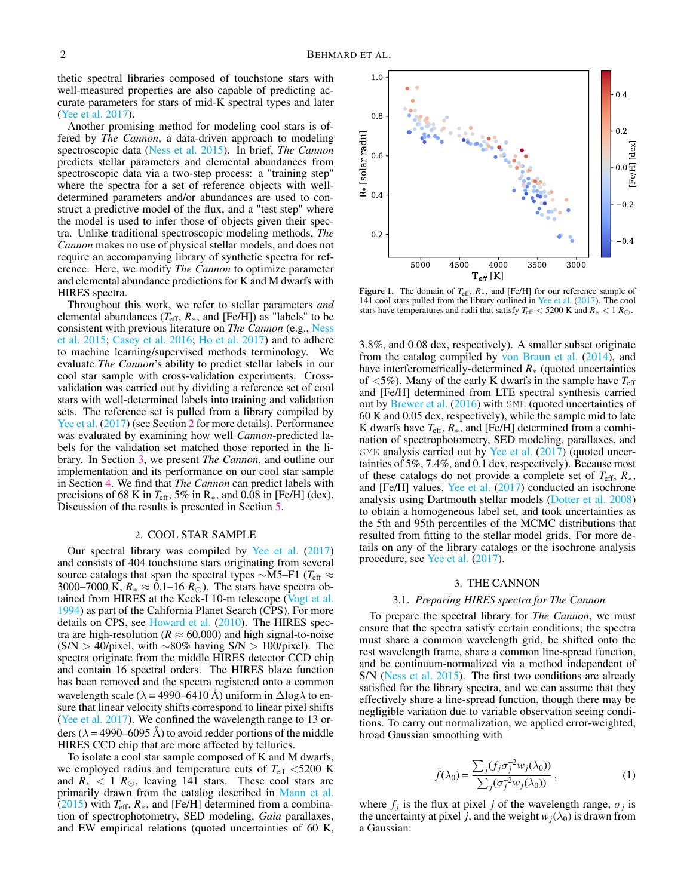thetic spectral libraries composed of touchstone stars with well-measured properties are also capable of predicting accurate parameters for stars of mid-K spectral types and later [\(Yee et al.](#page-8-14) [2017\)](#page-8-14).

Another promising method for modeling cool stars is offered by *The Cannon*, a data-driven approach to modeling spectroscopic data [\(Ness et al.](#page-8-15) [2015\)](#page-8-15). In brief, *The Cannon* predicts stellar parameters and elemental abundances from spectroscopic data via a two-step process: a "training step" where the spectra for a set of reference objects with welldetermined parameters and/or abundances are used to construct a predictive model of the flux, and a "test step" where the model is used to infer those of objects given their spectra. Unlike traditional spectroscopic modeling methods, *The Cannon* makes no use of physical stellar models, and does not require an accompanying library of synthetic spectra for reference. Here, we modify *The Cannon* to optimize parameter and elemental abundance predictions for K and M dwarfs with HIRES spectra.

Throughout this work, we refer to stellar parameters *and* elemental abundances ( $T_{\text{eff}}$ ,  $R_*$ , and [Fe/H]) as "labels" to be consistent with previous literature on *The Cannon* (e.g., [Ness](#page-8-15) [et al.](#page-8-15) [2015;](#page-8-15) [Casey et al.](#page-8-16) [2016;](#page-8-16) [Ho et al.](#page-8-17) [2017\)](#page-8-17) and to adhere to machine learning/supervised methods terminology. We evaluate *The Cannon*'s ability to predict stellar labels in our cool star sample with cross-validation experiments. Crossvalidation was carried out by dividing a reference set of cool stars with well-determined labels into training and validation sets. The reference set is pulled from a library compiled by [Yee et al.](#page-8-14) [\(2017\)](#page-8-14) (see Section [2](#page-1-0) for more details). Performance was evaluated by examining how well *Cannon*-predicted labels for the validation set matched those reported in the library. In Section [3,](#page-1-1) we present *The Cannon*, and outline our implementation and its performance on our cool star sample in Section [4.](#page-2-0) We find that *The Cannon* can predict labels with precisions of 68 K in  $T_{\text{eff}}$ , 5% in R<sub>\*</sub>, and 0.08 in [Fe/H] (dex). Discussion of the results is presented in Section [5.](#page-7-0)

### 2. COOL STAR SAMPLE

<span id="page-1-0"></span>Our spectral library was compiled by [Yee et al.](#page-8-14) [\(2017\)](#page-8-14) and consists of 404 touchstone stars originating from several source catalogs that span the spectral types ∼M5–F1 (*T*eff ≈ 3000–7000 K,  $R_* \approx 0.1$ –16  $R_{\odot}$ ). The stars have spectra obtained from HIRES at the Keck-I 10-m telescope [\(Vogt et al.](#page-8-18) [1994\)](#page-8-18) as part of the California Planet Search (CPS). For more details on CPS, see [Howard et al.](#page-8-19) [\(2010\)](#page-8-19). The HIRES spectra are high-resolution ( $R \approx 60,000$ ) and high signal-to-noise  $(S/N > 40$ /pixel, with ∼80% having S/N > 100/pixel). The spectra originate from the middle HIRES detector CCD chip and contain 16 spectral orders. The HIRES blaze function has been removed and the spectra registered onto a common wavelength scale ( $\lambda$  = 4990–6410 Å) uniform in  $\Delta$ log $\lambda$  to ensure that linear velocity shifts correspond to linear pixel shifts [\(Yee et al.](#page-8-14) [2017\)](#page-8-14). We confined the wavelength range to 13 orders ( $\lambda$  = 4990–6095 Å) to avoid redder portions of the middle HIRES CCD chip that are more affected by tellurics.

To isolate a cool star sample composed of K and M dwarfs, we employed radius and temperature cuts of *T*eff <5200 K and  $R_* < 1 R_{\odot}$ , leaving 141 stars. These cool stars are primarily drawn from the catalog described in [Mann et al.](#page-8-12)  $(2015)$  with  $T_{\text{eff}}$ ,  $R_*$ , and [Fe/H] determined from a combination of spectrophotometry, SED modeling, *Gaia* parallaxes, and EW empirical relations (quoted uncertainties of 60 K,



Figure 1. The domain of *T*eff, *R*∗, and [Fe/H] for our reference sample of 141 cool stars pulled from the library outlined in [Yee et al.](#page-8-14) [\(2017\)](#page-8-14). The cool stars have temperatures and radii that satisfy  $T_{\text{eff}} < 5200 \text{ K}$  and  $R_* < 1 R_{\odot}$ .

3.8%, and 0.08 dex, respectively). A smaller subset originate from the catalog compiled by [von Braun et al.](#page-8-20) [\(2014\)](#page-8-20), and have interferometrically-determined *R*<sup>∗</sup> (quoted uncertainties of  $\langle 5\% \rangle$ . Many of the early K dwarfs in the sample have  $T_{\text{eff}}$ and [Fe/H] determined from LTE spectral synthesis carried out by [Brewer et al.](#page-8-21) [\(2016\)](#page-8-21) with SME (quoted uncertainties of 60 K and 0.05 dex, respectively), while the sample mid to late K dwarfs have *T*eff, *R*∗, and [Fe/H] determined from a combination of spectrophotometry, SED modeling, parallaxes, and SME analysis carried out by [Yee et al.](#page-8-14) [\(2017\)](#page-8-14) (quoted uncertainties of 5%, 7.4%, and 0.1 dex, respectively). Because most of these catalogs do not provide a complete set of *T*eff, *R*∗, and [Fe/H] values, [Yee et al.](#page-8-14) [\(2017\)](#page-8-14) conducted an isochrone analysis using Dartmouth stellar models [\(Dotter et al.](#page-8-22) [2008\)](#page-8-22) to obtain a homogeneous label set, and took uncertainties as the 5th and 95th percentiles of the MCMC distributions that resulted from fitting to the stellar model grids. For more details on any of the library catalogs or the isochrone analysis procedure, see [Yee et al.](#page-8-14) [\(2017\)](#page-8-14).

## 3. THE CANNON

#### 3.1. *Preparing HIRES spectra for The Cannon*

<span id="page-1-1"></span>To prepare the spectral library for *The Cannon*, we must ensure that the spectra satisfy certain conditions; the spectra must share a common wavelength grid, be shifted onto the rest wavelength frame, share a common line-spread function, and be continuum-normalized via a method independent of S/N [\(Ness et al.](#page-8-15) [2015\)](#page-8-15). The first two conditions are already satisfied for the library spectra, and we can assume that they effectively share a line-spread function, though there may be negligible variation due to variable observation seeing conditions. To carry out normalization, we applied error-weighted, broad Gaussian smoothing with

$$
\bar{f}(\lambda_0) = \frac{\sum_j (f_j \sigma_j^{-2} w_j(\lambda_0))}{\sum_j (\sigma_j^{-2} w_j(\lambda_0))},
$$
\n(1)

where  $f_j$  is the flux at pixel *j* of the wavelength range,  $\sigma_j$  is the uncertainty at pixel *j*, and the weight  $w_j(\lambda_0)$  is drawn from a Gaussian: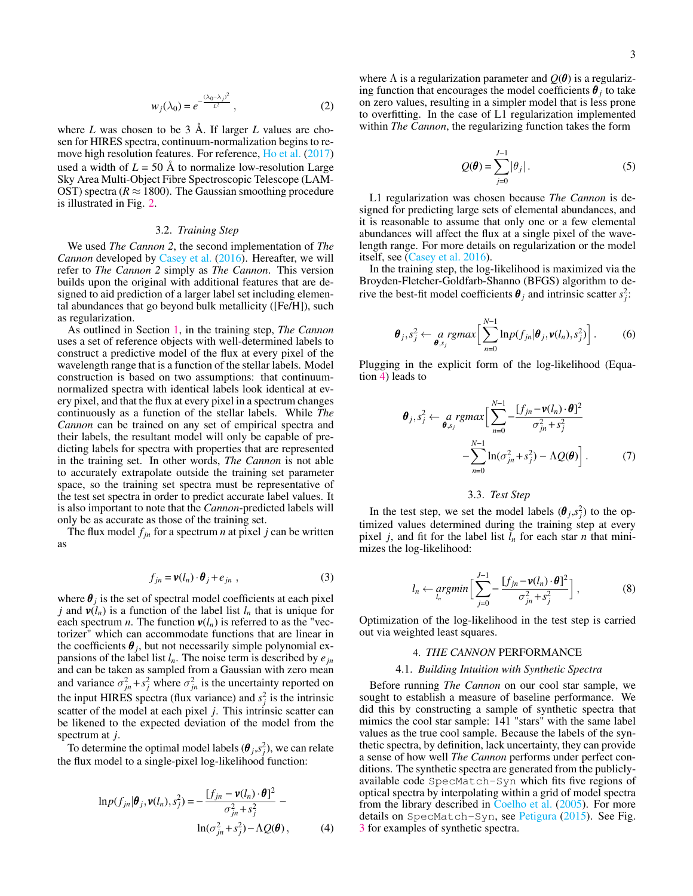$$
w_j(\lambda_0) = e^{-\frac{(\lambda_0 - \lambda_j)^2}{L^2}}, \qquad (2)
$$

where *L* was chosen to be 3 Å. If larger *L* values are chosen for HIRES spectra, continuum-normalization begins to remove high resolution features. For reference, [Ho et al.](#page-8-17) [\(2017\)](#page-8-17) used a width of  $L = 50$  Å to normalize low-resolution Large Sky Area Multi-Object Fibre Spectroscopic Telescope (LAM-OST) spectra ( $R \approx 1800$ ). The Gaussian smoothing procedure is illustrated in Fig. [2.](#page-3-0)

### 3.2. *Training Step*

We used *The Cannon 2*, the second implementation of *The Cannon* developed by [Casey et al.](#page-8-16) [\(2016\)](#page-8-16). Hereafter, we will refer to *The Cannon 2* simply as *The Cannon*. This version builds upon the original with additional features that are designed to aid prediction of a larger label set including elemental abundances that go beyond bulk metallicity ([Fe/H]), such as regularization.

As outlined in Section [1,](#page-0-0) in the training step, *The Cannon* uses a set of reference objects with well-determined labels to construct a predictive model of the flux at every pixel of the wavelength range that is a function of the stellar labels. Model construction is based on two assumptions: that continuumnormalized spectra with identical labels look identical at every pixel, and that the flux at every pixel in a spectrum changes continuously as a function of the stellar labels. While *The Cannon* can be trained on any set of empirical spectra and their labels, the resultant model will only be capable of predicting labels for spectra with properties that are represented in the training set. In other words, *The Cannon* is not able to accurately extrapolate outside the training set parameter space, so the training set spectra must be representative of the test set spectra in order to predict accurate label values. It is also important to note that the *Cannon*-predicted labels will only be as accurate as those of the training set.

The flux model  $f_{in}$  for a spectrum *n* at pixel *j* can be written as

$$
f_{jn} = \mathbf{v}(l_n) \cdot \boldsymbol{\theta}_j + e_{jn} \tag{3}
$$

where  $\theta_j$  is the set of spectral model coefficients at each pixel *j* and  $v(l_n)$  is a function of the label list  $l_n$  that is unique for each spectrum *n*. The function  $v(l_n)$  is referred to as the "vectorizer" which can accommodate functions that are linear in the coefficients  $\theta_j$ , but not necessarily simple polynomial expansions of the label list  $l_n$ . The noise term is described by  $e_{jn}$ and can be taken as sampled from a Gaussian with zero mean and variance  $\sigma_{jn}^2 + s_j^2$  where  $\sigma_{jn}^2$  is the uncertainty reported on the input HIRES spectra (flux variance) and  $s_j^2$  is the intrinsic scatter of the model at each pixel *j*. This intrinsic scatter can be likened to the expected deviation of the model from the spectrum at *j*.

To determine the optimal model labels  $(\boldsymbol{\theta}_j, s_j^2)$ , we can relate the flux model to a single-pixel log-likelihood function:

<span id="page-2-1"></span>
$$
\ln p(f_{jn}|\boldsymbol{\theta}_j, \boldsymbol{v}(l_n), s_j^2) = -\frac{[f_{jn} - \boldsymbol{v}(l_n) \cdot \boldsymbol{\theta}]^2}{\sigma_{jn}^2 + s_j^2} - \ln(\sigma_{jn}^2 + s_j^2) - \Lambda Q(\boldsymbol{\theta}),
$$
 (4)

where  $\Lambda$  is a regularization parameter and  $Q(\theta)$  is a regularizing function that encourages the model coefficients  $\theta_j$  to take on zero values, resulting in a simpler model that is less prone to overfitting. In the case of L1 regularization implemented within *The Cannon*, the regularizing function takes the form

$$
Q(\boldsymbol{\theta}) = \sum_{j=0}^{J-1} |\theta_j| \,. \tag{5}
$$

L1 regularization was chosen because *The Cannon* is designed for predicting large sets of elemental abundances, and it is reasonable to assume that only one or a few elemental abundances will affect the flux at a single pixel of the wavelength range. For more details on regularization or the model itself, see [\(Casey et al.](#page-8-16) [2016\)](#page-8-16).

In the training step, the log-likelihood is maximized via the Broyden-Fletcher-Goldfarb-Shanno (BFGS) algorithm to derive the best-fit model coefficients  $\theta_j$  and intrinsic scatter  $s_j^2$ :

$$
\boldsymbol{\theta}_j, s_j^2 \leftarrow \underset{\boldsymbol{\theta}, s_j}{a} \text{rgmax} \Big[ \sum_{n=0}^{N-1} \ln p(f_{jn} | \boldsymbol{\theta}_j, \boldsymbol{v}(l_n), s_j^2) \Big]. \tag{6}
$$

Plugging in the explicit form of the log-likelihood (Equation [4\)](#page-2-1) leads to

$$
\boldsymbol{\theta}_{j}, s_{j}^{2} \leftarrow a_{\boldsymbol{\theta}, s_{j}} \text{span}\left[\sum_{n=0}^{N-1} -\frac{[f_{jn} - \mathbf{v}(l_{n}) \cdot \boldsymbol{\theta}]^{2}}{\sigma_{jn}^{2} + s_{j}^{2}} - \sum_{n=0}^{N-1} \ln(\sigma_{jn}^{2} + s_{j}^{2}) - \Lambda Q(\boldsymbol{\theta})\right].
$$
 (7)

### 3.3. *Test Step*

In the test step, we set the model labels  $(\theta_j, s_j^2)$  to the optimized values determined during the training step at every pixel *j*, and fit for the label list  $l_n$  for each star *n* that minimizes the log-likelihood:

$$
l_n \leftarrow \underset{l_n}{argmin} \left[ \sum_{j=0}^{J-1} -\frac{[f_{jn} - \mathbf{v}(l_n) \cdot \boldsymbol{\theta}]^2}{\sigma_{jn}^2 + s_j^2} \right],
$$
 (8)

<span id="page-2-0"></span>Optimization of the log-likelihood in the test step is carried out via weighted least squares.

## 4. *THE CANNON* PERFORMANCE

#### 4.1. *Building Intuition with Synthetic Spectra*

Before running *The Cannon* on our cool star sample, we sought to establish a measure of baseline performance. We did this by constructing a sample of synthetic spectra that mimics the cool star sample:  $141$  "stars" with the same label values as the true cool sample. Because the labels of the synthetic spectra, by definition, lack uncertainty, they can provide a sense of how well *The Cannon* performs under perfect conditions. The synthetic spectra are generated from the publiclyavailable code SpecMatch-Syn which fits five regions of optical spectra by interpolating within a grid of model spectra from the library described in [Coelho et al.](#page-8-23) [\(2005\)](#page-8-23). For more details on SpecMatch-Syn, see [Petigura](#page-8-24) [\(2015\)](#page-8-24). See Fig. [3](#page-3-1) for examples of synthetic spectra.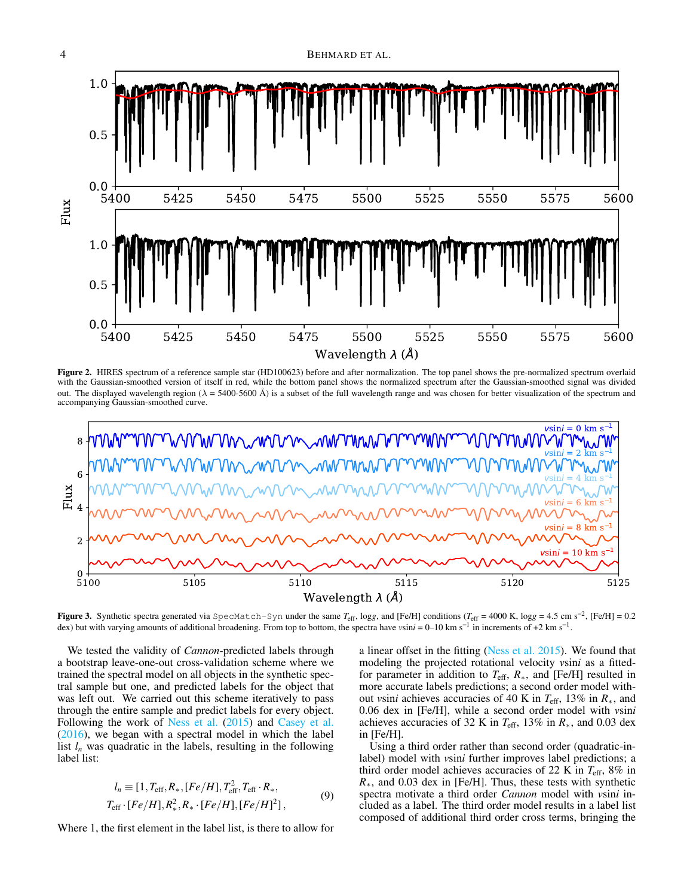

<span id="page-3-0"></span>Figure 2. HIRES spectrum of a reference sample star (HD100623) before and after normalization. The top panel shows the pre-normalized spectrum overlaid with the Gaussian-smoothed version of itself in red, while the bottom panel shows the normalized spectrum after the Gaussian-smoothed signal was divided out. The displayed wavelength region ( $\lambda = 5400-5600$  Å) is a subset of the full wavelength range and was chosen for better visualization of the spectrum and accompanying Gaussian-smoothed curve.



<span id="page-3-1"></span>**Figure 3.** Synthetic spectra generated via SpecMatch-Syn under the same  $T_{\text{eff}}$ , logg, and [Fe/H] conditions ( $T_{\text{eff}}$  = 4000 K, logg = 4.5 cm s<sup>-2</sup>, [Fe/H] = 0.2 dex) but with varying amounts of additional broadening. From top to bottom, the spectra have *v*sin*i* = 0–10 km s<sup>−1</sup> in increments of +2 km s<sup>−1</sup>.

We tested the validity of *Cannon*-predicted labels through a bootstrap leave-one-out cross-validation scheme where we trained the spectral model on all objects in the synthetic spectral sample but one, and predicted labels for the object that was left out. We carried out this scheme iteratively to pass through the entire sample and predict labels for every object. Following the work of [Ness et al.](#page-8-15) [\(2015\)](#page-8-15) and [Casey et al.](#page-8-16) [\(2016\)](#page-8-16), we began with a spectral model in which the label list  $l_n$  was quadratic in the labels, resulting in the following label list:

$$
l_n \equiv [1, T_{\rm eff}, R_*, [Fe/H], T_{\rm eff}^2, T_{\rm eff} \cdot R_*,
$$
  
\n
$$
T_{\rm eff} \cdot [Fe/H], R_*^2, R_* \cdot [Fe/H], [Fe/H]^2],
$$
\n(9)

Where 1, the first element in the label list, is there to allow for

a linear offset in the fitting [\(Ness et al.](#page-8-15) [2015\)](#page-8-15). We found that modeling the projected rotational velocity *v*sin*i* as a fittedfor parameter in addition to *T*eff, *R*∗, and [Fe/H] resulted in more accurate labels predictions; a second order model without *v*sin*i* achieves accuracies of 40 K in *T*eff, 13% in *R*∗, and 0.06 dex in [Fe/H], while a second order model with *v*sin*i* achieves accuracies of 32 K in  $T_{\text{eff}}$ , 13% in  $R_*$ , and 0.03 dex in [Fe/H].

Using a third order rather than second order (quadratic-inlabel) model with *v*sin*i* further improves label predictions; a third order model achieves accuracies of 22 K in *T*eff, 8% in *R*<sup>∗</sup>, and 0.03 dex in [Fe/H]. Thus, these tests with synthetic spectra motivate a third order *Cannon* model with *v*sin*i* included as a label. The third order model results in a label list composed of additional third order cross terms, bringing the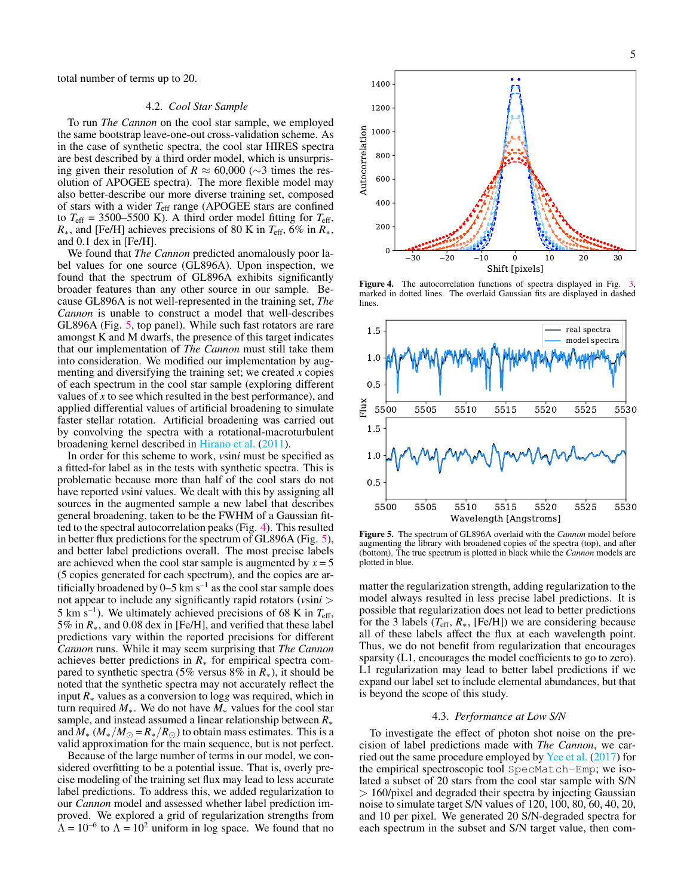total number of terms up to 20.

#### 4.2. *Cool Star Sample*

To run *The Cannon* on the cool star sample, we employed the same bootstrap leave-one-out cross-validation scheme. As in the case of synthetic spectra, the cool star HIRES spectra are best described by a third order model, which is unsurprising given their resolution of *R*  $\approx$  60,000 (∼3 times the resolution of APOGEE spectra). The more flexible model may also better-describe our more diverse training set, composed of stars with a wider *T*eff range (APOGEE stars are confined to  $T_{\text{eff}}$  = 3500–5500 K). A third order model fitting for  $T_{\text{eff}}$ , *R*∗, and [Fe/H] achieves precisions of 80 K in *T*eff, 6% in *R*∗, and 0.1 dex in [Fe/H].

We found that *The Cannon* predicted anomalously poor label values for one source (GL896A). Upon inspection, we found that the spectrum of GL896A exhibits significantly broader features than any other source in our sample. Because GL896A is not well-represented in the training set, *The Cannon* is unable to construct a model that well-describes GL896A (Fig. [5,](#page-4-0) top panel). While such fast rotators are rare amongst K and M dwarfs, the presence of this target indicates that our implementation of *The Cannon* must still take them into consideration. We modified our implementation by augmenting and diversifying the training set; we created *x* copies of each spectrum in the cool star sample (exploring different values of *x* to see which resulted in the best performance), and applied differential values of artificial broadening to simulate faster stellar rotation. Artificial broadening was carried out by convolving the spectra with a rotational-macroturbulent broadening kernel described in [Hirano et al.](#page-8-25) [\(2011\)](#page-8-25).

In order for this scheme to work, *v*sin*i* must be specified as a fitted-for label as in the tests with synthetic spectra. This is problematic because more than half of the cool stars do not have reported *v*sin*i* values. We dealt with this by assigning all sources in the augmented sample a new label that describes general broadening, taken to be the FWHM of a Gaussian fitted to the spectral autocorrelation peaks (Fig. [4\)](#page-4-1). This resulted in better flux predictions for the spectrum of GL896A (Fig. [5\)](#page-4-0), and better label predictions overall. The most precise labels are achieved when the cool star sample is augmented by  $x = 5$ (5 copies generated for each spectrum), and the copies are artificially broadened by 0–5 km s<sup>−1</sup> as the cool star sample does not appear to include any significantly rapid rotators (*v*sin*i* > 5 km s<sup>−</sup><sup>1</sup> ). We ultimately achieved precisions of 68 K in *T*eff, 5% in *R*∗, and 0.08 dex in [Fe/H], and verified that these label predictions vary within the reported precisions for different *Cannon* runs. While it may seem surprising that *The Cannon* achieves better predictions in *R*<sup>∗</sup> for empirical spectra compared to synthetic spectra (5% versus 8% in *R*∗), it should be noted that the synthetic spectra may not accurately reflect the input *R*<sup>∗</sup> values as a conversion to log*g* was required, which in turn required *M*∗. We do not have *M*<sup>∗</sup> values for the cool star sample, and instead assumed a linear relationship between *R*<sup>∗</sup> and  $M_*$  ( $M_*/M_{\odot} = R_*/R_{\odot}$ ) to obtain mass estimates. This is a valid approximation for the main sequence, but is not perfect.

Because of the large number of terms in our model, we considered overfitting to be a potential issue. That is, overly precise modeling of the training set flux may lead to less accurate label predictions. To address this, we added regularization to our *Cannon* model and assessed whether label prediction improved. We explored a grid of regularization strengths from  $\Lambda = 10^{-6}$  to  $\Lambda = 10^2$  uniform in log space. We found that no



<span id="page-4-1"></span>Figure 4. The autocorrelation functions of spectra displayed in Fig. marked in dotted lines. The overlaid Gaussian fits are displayed in dashed lines.



<span id="page-4-0"></span>Figure 5. The spectrum of GL896A overlaid with the *Cannon* model before augmenting the library with broadened copies of the spectra (top), and after (bottom). The true spectrum is plotted in black while the *Cannon* models are plotted in blue.

matter the regularization strength, adding regularization to the model always resulted in less precise label predictions. It is possible that regularization does not lead to better predictions for the 3 labels  $(T_{\rm eff}, R_*)$  [Fe/H]) we are considering because all of these labels affect the flux at each wavelength point. Thus, we do not benefit from regularization that encourages sparsity (L1, encourages the model coefficients to go to zero). L1 regularization may lead to better label predictions if we expand our label set to include elemental abundances, but that is beyond the scope of this study.

# 4.3. *Performance at Low S/N*

To investigate the effect of photon shot noise on the precision of label predictions made with *The Cannon*, we carried out the same procedure employed by [Yee et al.](#page-8-14) [\(2017\)](#page-8-14) for the empirical spectroscopic tool SpecMatch-Emp; we isolated a subset of 20 stars from the cool star sample with S/N > 160/pixel and degraded their spectra by injecting Gaussian noise to simulate target S/N values of 120, 100, 80, 60, 40, 20, and 10 per pixel. We generated 20 S/N-degraded spectra for each spectrum in the subset and S/N target value, then com-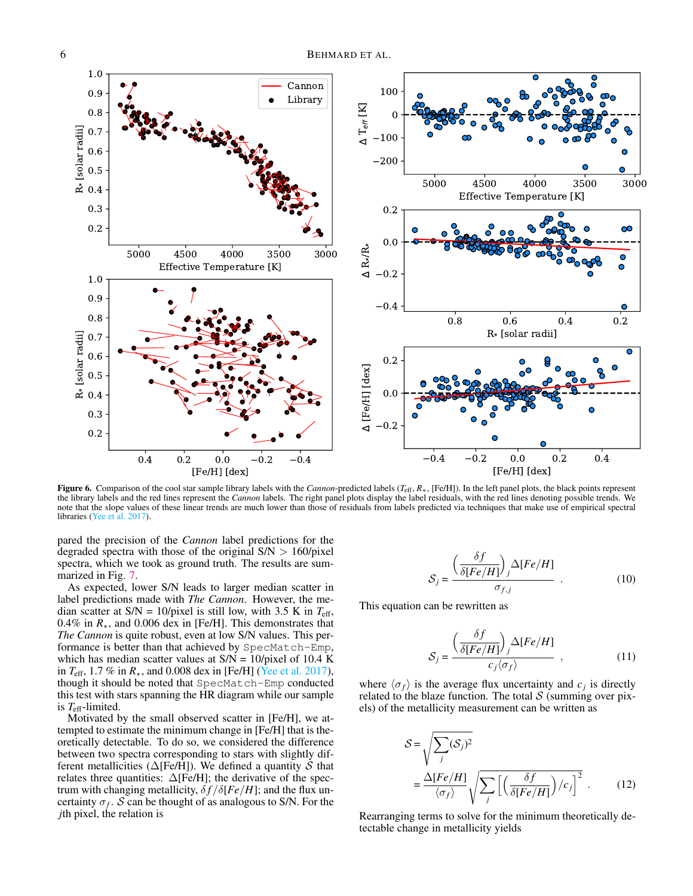

<span id="page-5-0"></span>Figure 6. Comparison of the cool star sample library labels with the *Cannon*-predicted labels (*T*eff, *R*∗, [Fe/H]). In the left panel plots, the black points represent the library labels and the red lines represent the *Cannon* labels. The right panel plots display the label residuals, with the red lines denoting possible trends. We note that the slope values of these linear trends are much lower than those of residuals from labels predicted via techniques that make use of empirical spectral libraries [\(Yee et al.](#page-8-14) [2017\)](#page-8-14).

pared the precision of the *Cannon* label predictions for the degraded spectra with those of the original  $S/N > 160$ /pixel spectra, which we took as ground truth. The results are summarized in Fig. [7.](#page-6-0)

As expected, lower S/N leads to larger median scatter in label predictions made with *The Cannon*. However, the median scatter at  $S/N = 10$ /pixel is still low, with 3.5 K in  $T_{\text{eff}}$ , 0.4% in *R*∗, and 0.006 dex in [Fe/H]. This demonstrates that *The Cannon* is quite robust, even at low S/N values. This performance is better than that achieved by SpecMatch-Emp, which has median scatter values at  $S/N = 10$ /pixel of 10.4 K in *T*eff, 1.7 % in *R*∗, and 0.008 dex in [Fe/H] [\(Yee et al.](#page-8-14) [2017\)](#page-8-14), though it should be noted that SpecMatch-Emp conducted this test with stars spanning the HR diagram while our sample is *T*eff-limited.

Motivated by the small observed scatter in [Fe/H], we attempted to estimate the minimum change in [Fe/H] that is theoretically detectable. To do so, we considered the difference between two spectra corresponding to stars with slightly different metallicities ( $\Delta$ [Fe/H]). We defined a quantity S that relates three quantities:  $\Delta$ [Fe/H]; the derivative of the spectrum with changing metallicity,  $\delta f / \delta [Fe/H]$ ; and the flux uncertainty  $\sigma_f$ . S can be thought of as analogous to S/N. For the *j*th pixel, the relation is

$$
S_j = \frac{\left(\frac{\delta f}{\delta [Fe/H]}\right)_j \Delta [Fe/H]}{\sigma_{f,j}} \tag{10}
$$

This equation can be rewritten as

$$
S_j = \frac{\left(\frac{\delta f}{\delta [Fe/H]}\right)_j \Delta [Fe/H]}{c_j \langle \sigma_f \rangle} , \qquad (11)
$$

where  $\langle \sigma_f \rangle$  is the average flux uncertainty and  $c_j$  is directly related to the blaze function. The total  $S$  (summing over pixels) of the metallicity measurement can be written as

$$
S = \sqrt{\sum_{j} (S_{j})^{2}}
$$
  
=  $\frac{\Delta[Fe/H]}{\langle \sigma_{f} \rangle} \sqrt{\sum_{j} \left[ \left( \frac{\delta f}{\delta[Fe/H]} \right) / c_{j} \right]^{2}}$ . (12)

Rearranging terms to solve for the minimum theoretically detectable change in metallicity yields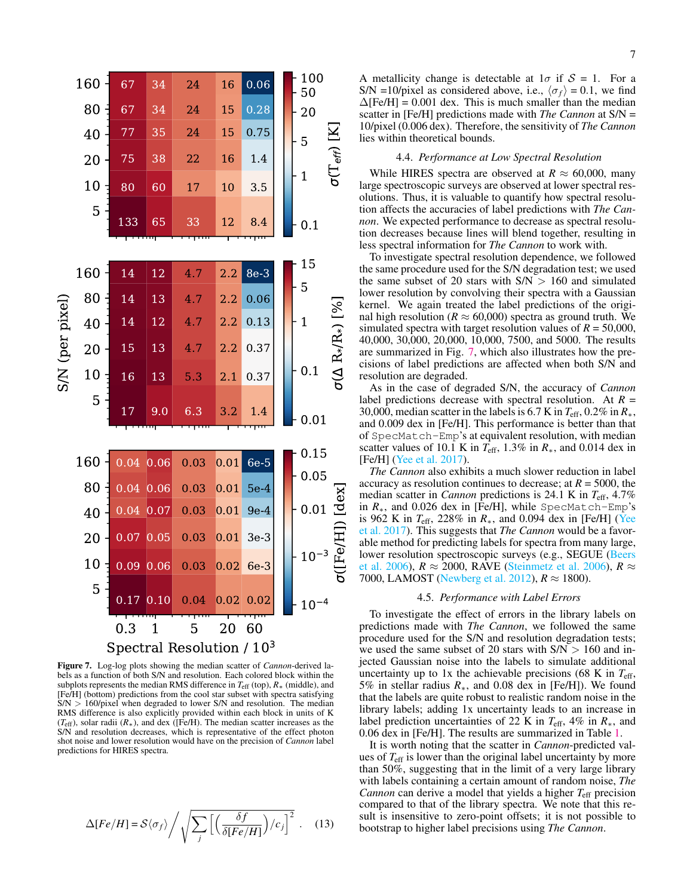

<span id="page-6-0"></span>Figure 7. Log-log plots showing the median scatter of *Cannon*-derived labels as a function of both S/N and resolution. Each colored block within the subplots represents the median RMS difference in *T*eff (top), *R*<sup>∗</sup> (middle), and [Fe/H] (bottom) predictions from the cool star subset with spectra satisfying  $S/N > 160$ /pixel when degraded to lower S/N and resolution. The median RMS difference is also explicitly provided within each block in units of K (*T*eff), solar radii (*R*∗), and dex ([Fe/H). The median scatter increases as the S/N and resolution decreases, which is representative of the effect photon shot noise and lower resolution would have on the precision of *Cannon* label predictions for HIRES spectra.

$$
\Delta[Fe/H] = S\langle \sigma_f \rangle / \sqrt{\sum_{j} \left[ \left( \frac{\delta f}{\delta[Fe/H]} \right) / c_j \right]^2} \ . \quad (13)
$$

A metallicity change is detectable at  $1\sigma$  if  $S = 1$ . For a S/N =10/pixel as considered above, i.e.,  $\langle \sigma_f \rangle = 0.1$ , we find  $\Delta$ [Fe/H] = 0.001 dex. This is much smaller than the median scatter in [Fe/H] predictions made with *The Cannon* at S/N = 10/pixel (0.006 dex). Therefore, the sensitivity of *The Cannon* lies within theoretical bounds.

#### 4.4. *Performance at Low Spectral Resolution*

While HIRES spectra are observed at  $R \approx 60,000$ , many large spectroscopic surveys are observed at lower spectral resolutions. Thus, it is valuable to quantify how spectral resolution affects the accuracies of label predictions with *The Cannon*. We expected performance to decrease as spectral resolution decreases because lines will blend together, resulting in less spectral information for *The Cannon* to work with.

To investigate spectral resolution dependence, we followed the same procedure used for the S/N degradation test; we used the same subset of 20 stars with  $S/N > 160$  and simulated lower resolution by convolving their spectra with a Gaussian kernel. We again treated the label predictions of the original high resolution ( $R \approx 60,000$ ) spectra as ground truth. We simulated spectra with target resolution values of  $R = 50,000$ , 40,000, 30,000, 20,000, 10,000, 7500, and 5000. The results are summarized in Fig. [7,](#page-6-0) which also illustrates how the precisions of label predictions are affected when both S/N and resolution are degraded.

As in the case of degraded S/N, the accuracy of *Cannon* label predictions decrease with spectral resolution. At *R* = 30,000, median scatter in the labels is 6.7 K in  $T_{\text{eff}}$ , 0.2% in  $R_*$ , and 0.009 dex in [Fe/H]. This performance is better than that of SpecMatch-Emp's at equivalent resolution, with median scatter values of 10.1 K in  $T_{\text{eff}}$ , 1.3% in  $R_*$ , and 0.014 dex in [Fe/H] [\(Yee et al.](#page-8-14) [2017\)](#page-8-14).

*The Cannon* also exhibits a much slower reduction in label accuracy as resolution continues to decrease; at  $R = 5000$ , the median scatter in *Cannon* predictions is 24.1 K in *T*eff, 4.7% in *R*∗, and 0.026 dex in [Fe/H], while SpecMatch-Emp's is 962 K in *T*eff, 228% in *R*∗, and 0.094 dex in [Fe/H] [\(Yee](#page-8-14) [et al.](#page-8-14) [2017\)](#page-8-14). This suggests that *The Cannon* would be a favorable method for predicting labels for spectra from many large, lower resolution spectroscopic surveys (e.g., SEGUE [\(Beers](#page-8-26) [et al.](#page-8-26) [2006\)](#page-8-27),  $R \approx 2000$ , RAVE [\(Steinmetz et al.](#page-8-27) 2006),  $R \approx$ 7000, LAMOST [\(Newberg et al.](#page-8-28) [2012\)](#page-8-28),  $R \approx 1800$ ).

# 4.5. *Performance with Label Errors*

To investigate the effect of errors in the library labels on predictions made with *The Cannon*, we followed the same procedure used for the S/N and resolution degradation tests; we used the same subset of 20 stars with  $S/N > 160$  and injected Gaussian noise into the labels to simulate additional uncertainty up to 1x the achievable precisions (68 K in  $T_{\text{eff}}$ , 5% in stellar radius *R*∗, and 0.08 dex in [Fe/H]). We found that the labels are quite robust to realistic random noise in the library labels; adding 1x uncertainty leads to an increase in label prediction uncertainties of 22 K in *T*eff, 4% in *R*∗, and 0.06 dex in [Fe/H]. The results are summarized in Table [1.](#page-7-1)

It is worth noting that the scatter in *Cannon*-predicted values of *T*eff is lower than the original label uncertainty by more than 50%, suggesting that in the limit of a very large library with labels containing a certain amount of random noise, *The Cannon* can derive a model that yields a higher *T*eff precision compared to that of the library spectra. We note that this result is insensitive to zero-point offsets; it is not possible to bootstrap to higher label precisions using *The Cannon*.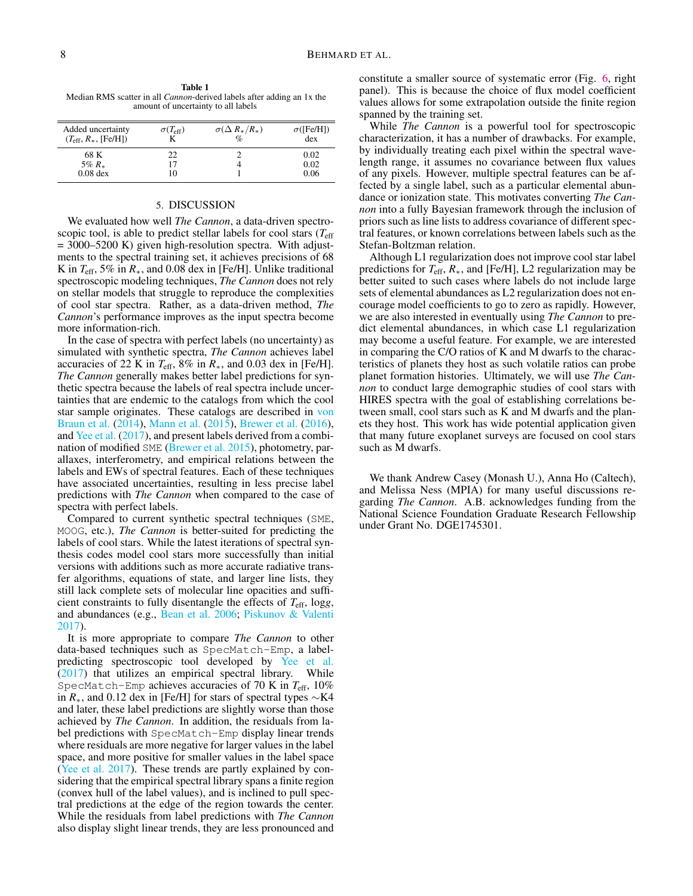<span id="page-7-1"></span>Table 1 Median RMS scatter in all *Cannon*-derived labels after adding an 1x the amount of uncertainty to all labels

| Added uncertainty<br>$(T_{\rm eff}, R_*,$ [Fe/H]) | $\sigma(T_{\rm eff})$ | $\sigma(\Delta R_*/R_*)$<br>$\%$ | $\sigma$ ([Fe/H])<br>dex |
|---------------------------------------------------|-----------------------|----------------------------------|--------------------------|
| 68 K                                              | 22                    |                                  | 0.02                     |
| 5% $R_*$                                          |                       |                                  | 0.02                     |
| $0.08$ dex                                        |                       |                                  | 0.06                     |

## 5. DISCUSSION

<span id="page-7-0"></span>We evaluated how well *The Cannon*, a data-driven spectroscopic tool, is able to predict stellar labels for cool stars  $(T<sub>eff</sub>)$  $= 3000 - 5200$  K) given high-resolution spectra. With adjustments to the spectral training set, it achieves precisions of 68 K in  $T_{\text{eff}}$ , 5% in  $R_*$ , and 0.08 dex in [Fe/H]. Unlike traditional spectroscopic modeling techniques, *The Cannon* does not rely on stellar models that struggle to reproduce the complexities of cool star spectra. Rather, as a data-driven method, *The Cannon*'s performance improves as the input spectra become more information-rich.

In the case of spectra with perfect labels (no uncertainty) as simulated with synthetic spectra, *The Cannon* achieves label accuracies of 22 K in  $T_{\text{eff}}$ , 8% in  $R_*$ , and 0.03 dex in [Fe/H]. *The Cannon* generally makes better label predictions for synthetic spectra because the labels of real spectra include uncertainties that are endemic to the catalogs from which the cool star sample originates. These catalogs are described in [von](#page-8-20) [Braun et al.](#page-8-20) [\(2014\)](#page-8-20), [Mann et al.](#page-8-12) [\(2015\)](#page-8-12), [Brewer et al.](#page-8-21) [\(2016\)](#page-8-21), and [Yee et al.](#page-8-14) [\(2017\)](#page-8-14), and present labels derived from a combination of modified SME [\(Brewer et al.](#page-8-5) [2015\)](#page-8-5), photometry, parallaxes, interferometry, and empirical relations between the labels and EWs of spectral features. Each of these techniques have associated uncertainties, resulting in less precise label predictions with *The Cannon* when compared to the case of spectra with perfect labels.

Compared to current synthetic spectral techniques (SME, MOOG, etc.), *The Cannon* is better-suited for predicting the labels of cool stars. While the latest iterations of spectral synthesis codes model cool stars more successfully than initial versions with additions such as more accurate radiative transfer algorithms, equations of state, and larger line lists, they still lack complete sets of molecular line opacities and sufficient constraints to fully disentangle the effects of *T*eff, log*g*, and abundances (e.g., [Bean et al.](#page-8-29) [2006;](#page-8-29) [Piskunov & Valenti](#page-8-6) [2017\)](#page-8-6).

It is more appropriate to compare *The Cannon* to other data-based techniques such as SpecMatch-Emp, a labelpredicting spectroscopic tool developed by [Yee et al.](#page-8-14) [\(2017\)](#page-8-14) that utilizes an empirical spectral library. While SpecMatch-Emp achieves accuracies of 70 K in *T*eff, 10% in *R*∗, and 0.12 dex in [Fe/H] for stars of spectral types ∼K4 and later, these label predictions are slightly worse than those achieved by *The Cannon*. In addition, the residuals from label predictions with SpecMatch-Emp display linear trends where residuals are more negative for larger values in the label space, and more positive for smaller values in the label space [\(Yee et al.](#page-8-14) [2017\)](#page-8-14). These trends are partly explained by considering that the empirical spectral library spans a finite region (convex hull of the label values), and is inclined to pull spectral predictions at the edge of the region towards the center. While the residuals from label predictions with *The Cannon* also display slight linear trends, they are less pronounced and constitute a smaller source of systematic error (Fig. [6,](#page-5-0) right panel). This is because the choice of flux model coefficient values allows for some extrapolation outside the finite region spanned by the training set.

While *The Cannon* is a powerful tool for spectroscopic characterization, it has a number of drawbacks. For example, by individually treating each pixel within the spectral wavelength range, it assumes no covariance between flux values of any pixels. However, multiple spectral features can be affected by a single label, such as a particular elemental abundance or ionization state. This motivates converting *The Cannon* into a fully Bayesian framework through the inclusion of priors such as line lists to address covariance of different spectral features, or known correlations between labels such as the Stefan-Boltzman relation.

Although L1 regularization does not improve cool star label predictions for *T*eff, *R*∗, and [Fe/H], L2 regularization may be better suited to such cases where labels do not include large sets of elemental abundances as L2 regularization does not encourage model coefficients to go to zero as rapidly. However, we are also interested in eventually using *The Cannon* to predict elemental abundances, in which case L1 regularization may become a useful feature. For example, we are interested in comparing the C/O ratios of K and M dwarfs to the characteristics of planets they host as such volatile ratios can probe planet formation histories. Ultimately, we will use *The Cannon* to conduct large demographic studies of cool stars with HIRES spectra with the goal of establishing correlations between small, cool stars such as K and M dwarfs and the planets they host. This work has wide potential application given that many future exoplanet surveys are focused on cool stars such as M dwarfs.

We thank Andrew Casey (Monash U.), Anna Ho (Caltech), and Melissa Ness (MPIA) for many useful discussions regarding *The Cannon*. A.B. acknowledges funding from the National Science Foundation Graduate Research Fellowship under Grant No. DGE1745301.